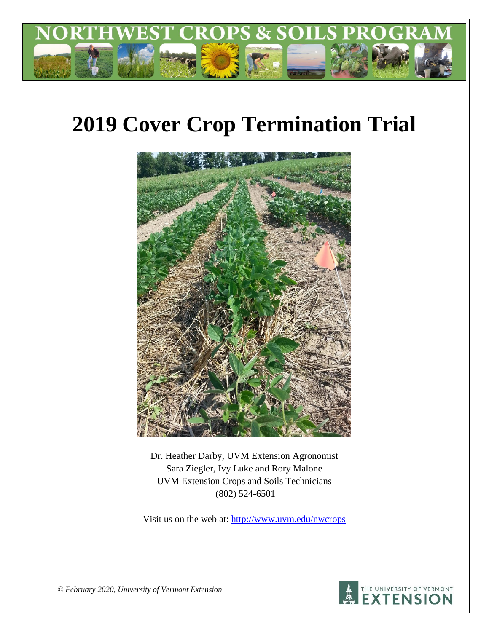

# **2019 Cover Crop Termination Trial**



Dr. Heather Darby, UVM Extension Agronomist Sara Ziegler, Ivy Luke and Rory Malone UVM Extension Crops and Soils Technicians (802) 524-6501

Visit us on the web at: <http://www.uvm.edu/nwcrops>



*© February 2020, University of Vermont Extension*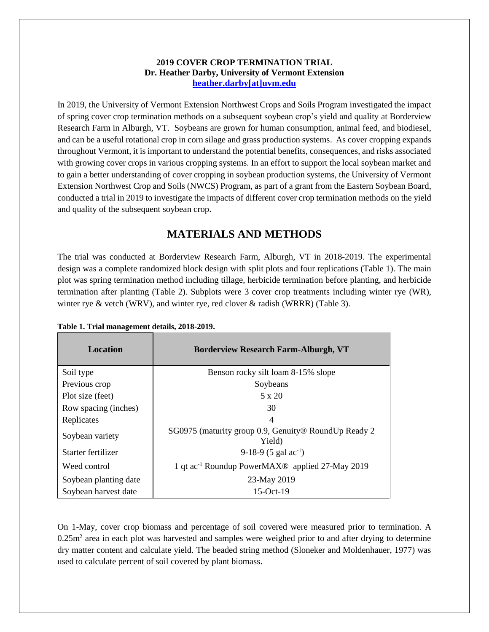#### **2019 COVER CROP TERMINATION TRIAL Dr. Heather Darby, University of Vermont Extension [heather.darby\[at\]uvm.edu](mailto:heather.darby@uvm.edu?subject=2012%20Short%20Season%20Corn%20Report)**

In 2019, the University of Vermont Extension Northwest Crops and Soils Program investigated the impact of spring cover crop termination methods on a subsequent soybean crop's yield and quality at Borderview Research Farm in Alburgh, VT. Soybeans are grown for human consumption, animal feed, and biodiesel, and can be a useful rotational crop in corn silage and grass production systems. As cover cropping expands throughout Vermont, it is important to understand the potential benefits, consequences, and risks associated with growing cover crops in various cropping systems. In an effort to support the local soybean market and to gain a better understanding of cover cropping in soybean production systems, the University of Vermont Extension Northwest Crop and Soils (NWCS) Program, as part of a grant from the Eastern Soybean Board, conducted a trial in 2019 to investigate the impacts of different cover crop termination methods on the yield and quality of the subsequent soybean crop.

## **MATERIALS AND METHODS**

The trial was conducted at Borderview Research Farm, Alburgh, VT in 2018-2019. The experimental design was a complete randomized block design with split plots and four replications (Table 1). The main plot was spring termination method including tillage, herbicide termination before planting, and herbicide termination after planting (Table 2). Subplots were 3 cover crop treatments including winter rye (WR), winter rye & vetch (WRV), and winter rye, red clover  $\&$  radish (WRRR) (Table 3).

| <b>Location</b>       | <b>Borderview Research Farm-Alburgh, VT</b>                             |
|-----------------------|-------------------------------------------------------------------------|
| Soil type             | Benson rocky silt loam 8-15% slope                                      |
| Previous crop         | Soybeans                                                                |
| Plot size (feet)      | $5 \times 20$                                                           |
| Row spacing (inches)  | 30                                                                      |
| Replicates            | 4                                                                       |
| Soybean variety       | SG0975 (maturity group 0.9, Genuity® RoundUp Ready 2<br>Yield)          |
| Starter fertilizer    | 9-18-9 (5 gal $ac^{-1}$ )                                               |
| Weed control          | 1 qt ac <sup>-1</sup> Roundup PowerMAX <sup>®</sup> applied 27-May 2019 |
| Soybean planting date | 23-May 2019                                                             |
| Soybean harvest date  | $15-Oct-19$                                                             |

**Table 1. Trial management details, 2018-2019.**

On 1-May, cover crop biomass and percentage of soil covered were measured prior to termination. A  $0.25$ m<sup>2</sup> area in each plot was harvested and samples were weighed prior to and after drying to determine dry matter content and calculate yield. The beaded string method (Sloneker and Moldenhauer, 1977) was used to calculate percent of soil covered by plant biomass.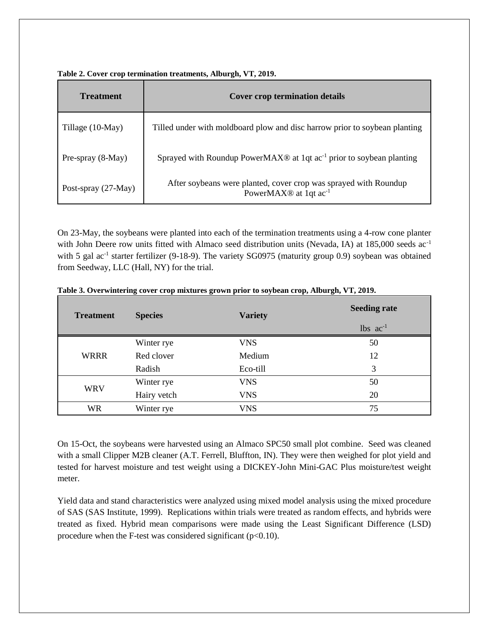| <b>Treatment</b>    | <b>Cover crop termination details</b>                                                                             |
|---------------------|-------------------------------------------------------------------------------------------------------------------|
| Tillage (10-May)    | Tilled under with moldboard plow and disc harrow prior to soybean planting                                        |
| Pre-spray (8-May)   | Sprayed with Roundup PowerMAX <sup>®</sup> at 1qt $ac^{-1}$ prior to soybean planting                             |
| Post-spray (27-May) | After soybeans were planted, cover crop was sprayed with Roundup<br>PowerMAX <sup>®</sup> at 1qt ac <sup>-1</sup> |

**Table 2. Cover crop termination treatments, Alburgh, VT, 2019.**

On 23-May, the soybeans were planted into each of the termination treatments using a 4-row cone planter with John Deere row units fitted with Almaco seed distribution units (Nevada, IA) at 185,000 seeds ac<sup>-1</sup> with 5 gal ac<sup>-1</sup> starter fertilizer (9-18-9). The variety SG0975 (maturity group 0.9) soybean was obtained from Seedway, LLC (Hall, NY) for the trial.

| <b>Treatment</b> | <b>Species</b> | <b>Variety</b> | <b>Seeding rate</b>    |  |
|------------------|----------------|----------------|------------------------|--|
|                  |                |                | $lbs$ ac <sup>-1</sup> |  |
|                  | Winter rye     | <b>VNS</b>     | 50                     |  |
| <b>WRRR</b>      | Red clover     | Medium         | 12                     |  |
|                  | Radish         | Eco-till       | 3                      |  |
|                  | Winter rye     | <b>VNS</b>     | 50                     |  |
| <b>WRV</b>       | Hairy vetch    | <b>VNS</b>     | 20                     |  |
| <b>WR</b>        | Winter rye     | <b>VNS</b>     | 75                     |  |

**Table 3. Overwintering cover crop mixtures grown prior to soybean crop, Alburgh, VT, 2019.**

On 15-Oct, the soybeans were harvested using an Almaco SPC50 small plot combine. Seed was cleaned with a small Clipper M2B cleaner (A.T. Ferrell, Bluffton, IN). They were then weighed for plot yield and tested for harvest moisture and test weight using a DICKEY-John Mini-GAC Plus moisture/test weight meter.

Yield data and stand characteristics were analyzed using mixed model analysis using the mixed procedure of SAS (SAS Institute, 1999). Replications within trials were treated as random effects, and hybrids were treated as fixed. Hybrid mean comparisons were made using the Least Significant Difference (LSD) procedure when the F-test was considered significant  $(p<0.10)$ .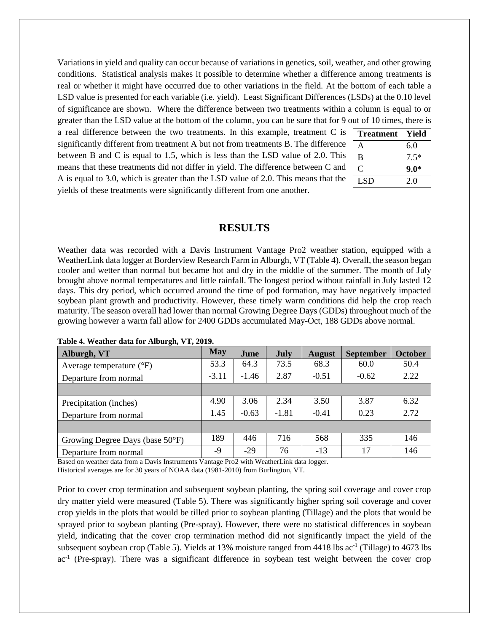Variations in yield and quality can occur because of variations in genetics, soil, weather, and other growing conditions. Statistical analysis makes it possible to determine whether a difference among treatments is real or whether it might have occurred due to other variations in the field. At the bottom of each table a LSD value is presented for each variable (i.e. yield). Least Significant Differences (LSDs) at the 0.10 level of significance are shown. Where the difference between two treatments within a column is equal to or greater than the LSD value at the bottom of the column, you can be sure that for 9 out of 10 times, there is

a real difference between the two treatments. In this example, treatment C is significantly different from treatment A but not from treatments B. The difference between B and C is equal to 1.5, which is less than the LSD value of 2.0. This means that these treatments did not differ in yield. The difference between C and A is equal to 3.0, which is greater than the LSD value of 2.0. This means that the yields of these treatments were significantly different from one another.

| Treatment      | Yield  |
|----------------|--------|
| A              | 6.0    |
| B              | $7.5*$ |
| $\mathfrak{C}$ | $9.0*$ |
| <b>LSD</b>     | 2.0    |

#### **RESULTS**

Weather data was recorded with a Davis Instrument Vantage Pro2 weather station, equipped with a WeatherLink data logger at Borderview Research Farm in Alburgh, VT (Table 4). Overall, the season began cooler and wetter than normal but became hot and dry in the middle of the summer. The month of July brought above normal temperatures and little rainfall. The longest period without rainfall in July lasted 12 days. This dry period, which occurred around the time of pod formation, may have negatively impacted soybean plant growth and productivity. However, these timely warm conditions did help the crop reach maturity. The season overall had lower than normal Growing Degree Days (GDDs) throughout much of the growing however a warm fall allow for 2400 GDDs accumulated May-Oct, 188 GDDs above normal.

| Alburgh, VT                         | May     | June    | July    | <b>August</b> | <b>September</b> | <b>October</b> |
|-------------------------------------|---------|---------|---------|---------------|------------------|----------------|
| Average temperature $({}^{\circ}F)$ | 53.3    | 64.3    | 73.5    | 68.3          | 60.0             | 50.4           |
| Departure from normal               | $-3.11$ | $-1.46$ | 2.87    | $-0.51$       | $-0.62$          | 2.22           |
|                                     |         |         |         |               |                  |                |
| Precipitation (inches)              | 4.90    | 3.06    | 2.34    | 3.50          | 3.87             | 6.32           |
| Departure from normal               | 1.45    | $-0.63$ | $-1.81$ | $-0.41$       | 0.23             | 2.72           |
|                                     |         |         |         |               |                  |                |
| Growing Degree Days (base 50°F)     | 189     | 446     | 716     | 568           | 335              | 146            |
| Departure from normal               | -9      | $-29$   | 76      | $-13$         | 17               | 146            |

|  | Table 4. Weather data for Alburgh, VT, 2019. |  |  |  |  |  |
|--|----------------------------------------------|--|--|--|--|--|
|--|----------------------------------------------|--|--|--|--|--|

Based on weather data from a Davis Instruments Vantage Pro2 with WeatherLink data logger. Historical averages are for 30 years of NOAA data (1981-2010) from Burlington, VT.

Prior to cover crop termination and subsequent soybean planting, the spring soil coverage and cover crop dry matter yield were measured (Table 5). There was significantly higher spring soil coverage and cover crop yields in the plots that would be tilled prior to soybean planting (Tillage) and the plots that would be sprayed prior to soybean planting (Pre-spray). However, there were no statistical differences in soybean yield, indicating that the cover crop termination method did not significantly impact the yield of the subsequent soybean crop (Table 5). Yields at 13% moisture ranged from 4418 lbs ac<sup>-1</sup> (Tillage) to 4673 lbs ac<sup>-1</sup> (Pre-spray). There was a significant difference in soybean test weight between the cover crop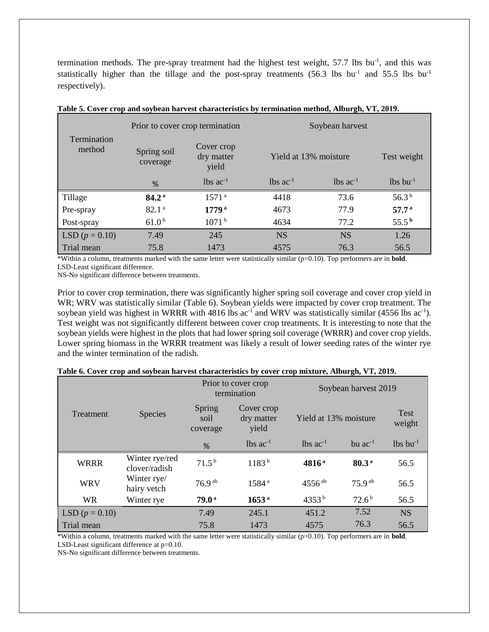termination methods. The pre-spray treatment had the highest test weight,  $57.7$  lbs bu<sup>-1</sup>, and this was statistically higher than the tillage and the post-spray treatments (56.3 lbs bu<sup>-1</sup> and 55.5 lbs bu<sup>-1</sup> respectively).

| Termination<br>method |                                                              | Prior to cover crop termination | Soybean harvest       |                        |                        |  |
|-----------------------|--------------------------------------------------------------|---------------------------------|-----------------------|------------------------|------------------------|--|
|                       | Cover crop<br>Spring soil<br>dry matter<br>coverage<br>yield |                                 | Yield at 13% moisture | Test weight            |                        |  |
|                       | %                                                            | $lbs$ ac <sup>-1</sup>          | $\log ac^{-1}$        | $lbs$ ac <sup>-1</sup> | $lbs$ bu <sup>-1</sup> |  |
| Tillage               | 84.2 <sup>a</sup>                                            | 1571 <sup>a</sup>               | 4418                  | 73.6                   | 56.3 $^{\rm b}$        |  |
| Pre-spray             | 82.1 <sup>a</sup>                                            | $1779^{\rm a}$                  | 4673                  | 77.9                   | 57.7 <sup>a</sup>      |  |
| Post-spray            | 61.0 <sup>b</sup>                                            | 1071 <sup>b</sup>               | 4634                  | 77.2                   | $55.5^{\mathrm{b}}$    |  |
| LSD $(p = 0.10)$      | 7.49                                                         | 245                             | <b>NS</b>             | <b>NS</b>              | 1.26                   |  |
| Trial mean            | 75.8                                                         | 1473                            | 4575                  | 76.3                   | 56.5                   |  |

**Table 5. Cover crop and soybean harvest characteristics by termination method, Alburgh, VT, 2019.**

\*Within a column, treatments marked with the same letter were statistically similar (p=0.10). Top performers are in **bold**. LSD-Least significant difference.

NS-No significant difference between treatments.

Prior to cover crop termination, there was significantly higher spring soil coverage and cover crop yield in WR; WRV was statistically similar (Table 6). Soybean yields were impacted by cover crop treatment. The soybean yield was highest in WRRR with  $4816$  lbs ac<sup>-1</sup> and WRV was statistically similar (4556 lbs ac<sup>-1</sup>). Test weight was not significantly different between cover crop treatments. It is interesting to note that the soybean yields were highest in the plots that had lower spring soil coverage (WRRR) and cover crop yields. Lower spring biomass in the WRRR treatment was likely a result of lower seeding rates of the winter rye and the winter termination of the radish.

|                  |                                 |                            | Prior to cover crop<br>termination | Soybean harvest 2019   |                     |                        |  |
|------------------|---------------------------------|----------------------------|------------------------------------|------------------------|---------------------|------------------------|--|
| Treatment        | <b>Species</b>                  | Spring<br>soil<br>coverage | Cover crop<br>dry matter<br>yield  | Yield at 13% moisture  |                     | Test<br>weight         |  |
|                  |                                 | %                          | $lbs$ ac <sup>-1</sup>             | $lbs$ ac <sup>-1</sup> | bu $ac^{-1}$        | $lbs$ bu <sup>-1</sup> |  |
| <b>WRRR</b>      | Winter rye/red<br>clover/radish | 71.5 <sup>b</sup>          | 1183 <sup>b</sup>                  | 4816 <sup>a</sup>      | 80.3 <sup>a</sup>   | 56.5                   |  |
| <b>WRV</b>       | Winter rye/<br>hairy vetch      | $76.9^{ab}$                | 1584 <sup>a</sup>                  | $4556$ <sup>ab</sup>   | $75.9^{ab}$         | 56.5                   |  |
| <b>WR</b>        | Winter rye                      | 79.0 <sup>a</sup>          | 1653 <sup>a</sup>                  | 4353 $^{\rm b}$        | $72.6^{\mathrm{b}}$ | 56.5                   |  |
| LSD $(p = 0.10)$ |                                 | 7.49                       | 245.1                              | 451.2                  | 7.52                | <b>NS</b>              |  |
| Trial mean       |                                 | 75.8                       | 1473                               | 4575                   | 76.3                | 56.5                   |  |

| Table 6. Cover crop and soybean harvest characteristics by cover crop mixture, Alburgh, VT, 2019. |  |  |  |  |  |  |  |  |  |  |
|---------------------------------------------------------------------------------------------------|--|--|--|--|--|--|--|--|--|--|
|---------------------------------------------------------------------------------------------------|--|--|--|--|--|--|--|--|--|--|

\*Within a column, treatments marked with the same letter were statistically similar (p=0.10). Top performers are in **bold**. LSD-Least significant difference at p=0.10.

NS-No significant difference between treatments.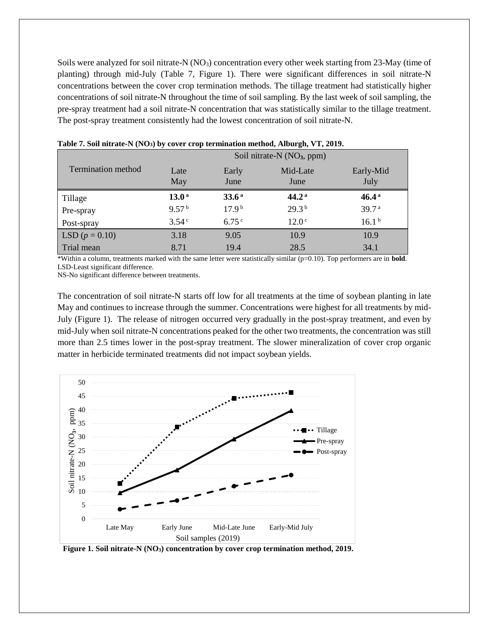Soils were analyzed for soil nitrate-N  $(NO<sub>3</sub>)$  concentration every other week starting from 23-May (time of planting) through mid-July (Table 7, Figure 1). There were significant differences in soil nitrate-N concentrations between the cover crop termination methods. The tillage treatment had statistically higher concentrations of soil nitrate-N throughout the time of soil sampling. By the last week of soil sampling, the pre-spray treatment had a soil nitrate-N concentration that was statistically similar to the tillage treatment. The post-spray treatment consistently had the lowest concentration of soil nitrate-N.

|                           | Soil nitrate- $N(NO_3, ppm)$ |                   |                   |                   |  |  |
|---------------------------|------------------------------|-------------------|-------------------|-------------------|--|--|
| <b>Termination</b> method | Late<br>May                  | Early<br>June     | Mid-Late<br>June  | Early-Mid<br>July |  |  |
| Tillage                   | 13.0 <sup>a</sup>            | 33.6 <sup>a</sup> | 44.2 <sup>a</sup> | $46.4^{\text{a}}$ |  |  |
| Pre-spray                 | 9.57 <sup>b</sup>            | 17.9 <sup>b</sup> | 29.3 <sup>b</sup> | 39.7 <sup>a</sup> |  |  |
| Post-spray                | $3.54^{\circ}$               | 6.75 $^{\circ}$   | 12.0 <sup>c</sup> | 16.1 <sup>b</sup> |  |  |
| LSD $(p = 0.10)$          | 3.18                         | 9.05              | 10.9              | 10.9              |  |  |
| Trial mean                | 8.71                         | 19.4              | 28.5              | 34.1              |  |  |

|  |  | Table 7. Soil nitrate-N (NO <sub>3</sub> ) by cover crop termination method, Alburgh, VT, 2019. |  |  |
|--|--|-------------------------------------------------------------------------------------------------|--|--|
|  |  |                                                                                                 |  |  |

\*Within a column, treatments marked with the same letter were statistically similar (p=0.10). Top performers are in **bold**. LSD-Least significant difference.

NS-No significant difference between treatments.

The concentration of soil nitrate-N starts off low for all treatments at the time of soybean planting in late May and continues to increase through the summer. Concentrations were highest for all treatments by mid-July (Figure 1). The release of nitrogen occurred very gradually in the post-spray treatment, and even by mid-July when soil nitrate-N concentrations peaked for the other two treatments, the concentration was still more than 2.5 times lower in the post-spray treatment. The slower mineralization of cover crop organic matter in herbicide terminated treatments did not impact soybean yields.